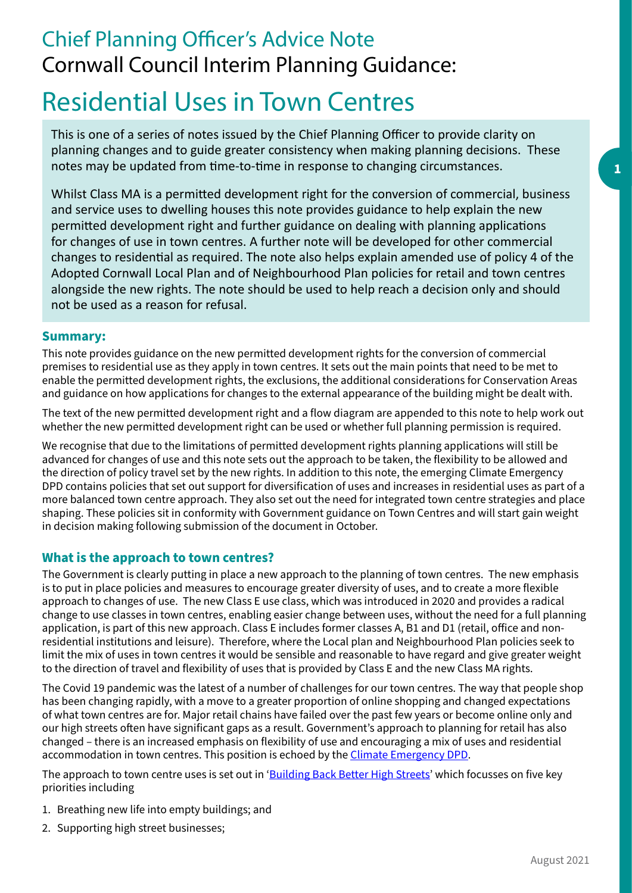## Chief Planning Officer's Advice Note Cornwall Council Interim Planning Guidance:

# Residential Uses in Town Centres

This is one of a series of notes issued by the Chief Planning Officer to provide clarity on planning changes and to guide greater consistency when making planning decisions. These notes may be updated from time-to-time in response to changing circumstances.

Whilst Class MA is a permitted development right for the conversion of commercial, business and service uses to dwelling houses this note provides guidance to help explain the new permitted development right and further guidance on dealing with planning applications for changes of use in town centres. A further note will be developed for other commercial changes to residential as required. The note also helps explain amended use of policy 4 of the Adopted Cornwall Local Plan and of Neighbourhood Plan policies for retail and town centres alongside the new rights. The note should be used to help reach a decision only and should not be used as a reason for refusal.

#### **Summary:**

This note provides guidance on the new permitted development rights for the conversion of commercial premises to residential use as they apply in town centres. It sets out the main points that need to be met to enable the permitted development rights, the exclusions, the additional considerations for Conservation Areas and guidance on how applications for changes to the external appearance of the building might be dealt with.

The text of the new permitted development right and a flow diagram are appended to this note to help work out whether the new permitted development right can be used or whether full planning permission is required.

We recognise that due to the limitations of permitted development rights planning applications will still be advanced for changes of use and this note sets out the approach to be taken, the flexibility to be allowed and the direction of policy travel set by the new rights. In addition to this note, the emerging Climate Emergency DPD contains policies that set out support for diversification of uses and increases in residential uses as part of a more balanced town centre approach. They also set out the need for integrated town centre strategies and place shaping. These policies sit in conformity with Government guidance on Town Centres and will start gain weight in decision making following submission of the document in October.

## **What is the approach to town centres?**

The Government is clearly putting in place a new approach to the planning of town centres. The new emphasis is to put in place policies and measures to encourage greater diversity of uses, and to create a more flexible approach to changes of use. The new Class E use class, which was introduced in 2020 and provides a radical change to use classes in town centres, enabling easier change between uses, without the need for a full planning application, is part of this new approach. Class E includes former classes A, B1 and D1 (retail, ofice and nonresidential institutions and leisure). Therefore, where the Local plan and Neighbourhood Plan policies seek to limit the mix of uses in town centres it would be sensible and reasonable to have regard and give greater weight to the direction of travel and flexibility of uses that is provided by Class E and the new Class MA rights.

The Covid 19 pandemic was the latest of a number of challenges for our town centres. The way that people shop has been changing rapidly, with a move to a greater proportion of online shopping and changed expectations of what town centres are for. Major retail chains have failed over the past few years or become online only and our high streets often have significant gaps as a result. Government's approach to planning for retail has also changed – there is an increased emphasis on flexibility of use and encouraging a mix of uses and residential accommodation in town centres. This position is echoed by the [Climate Emergency DPD.](http://www.cornwall.gov.uk/climateemergencydpd)

The approach to town centre uses is set out in '[Building Back Better High Streets'](https://assets.publishing.service.gov.uk/government/uploads/system/uploads/attachment_data/file/1005041/Build_Back_Better_High_Streets.pdf) which focusses on five key priorities including

- 1. Breathing new life into empty buildings; and
- 2. Supporting high street businesses;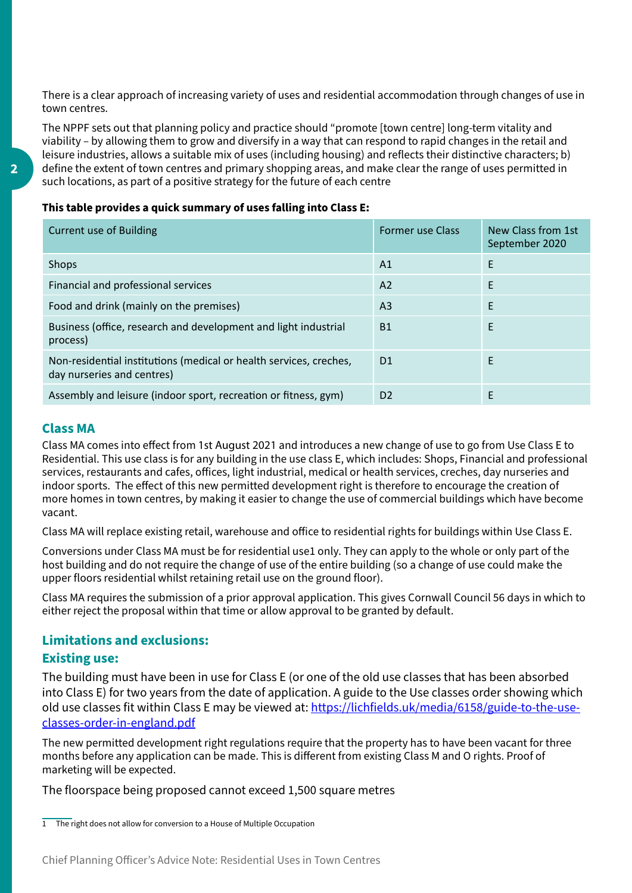There is a clear approach of increasing variety of uses and residential accommodation through changes of use in town centres.

The NPPF sets out that planning policy and practice should "promote [town centre] long-term vitality and viability – by allowing them to grow and diversify in a way that can respond to rapid changes in the retail and leisure industries, allows a suitable mix of uses (including housing) and reflects their distinctive characters; b) define the extent of town centres and primary shopping areas, and make clear the range of uses permitted in such locations, as part of a positive strategy for the future of each centre

#### **This table provides a quick summary of uses falling into Class E:**

| <b>Current use of Building</b>                                                                   | <b>Former use Class</b> | New Class from 1st<br>September 2020 |
|--------------------------------------------------------------------------------------------------|-------------------------|--------------------------------------|
| Shops                                                                                            | A1                      | E                                    |
| Financial and professional services                                                              | A <sub>2</sub>          | F                                    |
| Food and drink (mainly on the premises)                                                          | A <sub>3</sub>          | E                                    |
| Business (office, research and development and light industrial<br>process)                      | <b>B1</b>               | E                                    |
| Non-residential institutions (medical or health services, creches,<br>day nurseries and centres) | D <sub>1</sub>          | F                                    |
| Assembly and leisure (indoor sport, recreation or fitness, gym)                                  | D <sub>2</sub>          | F                                    |

#### **Class MA**

Class MA comes into efect from 1st August 2021 and introduces a new change of use to go from Use Class E to Residential. This use class is for any building in the use class E, which includes: Shops, Financial and professional services, restaurants and cafes, ofices, light industrial, medical or health services, creches, day nurseries and indoor sports. The efect of this new permitted development right is therefore to encourage the creation of more homes in town centres, by making it easier to change the use of commercial buildings which have become vacant.

Class MA will replace existing retail, warehouse and ofice to residential rights for buildings within Use Class E.

Conversions under Class MA must be for residential use1 only. They can apply to the whole or only part of the host building and do not require the change of use of the entire building (so a change of use could make the upper floors residential whilst retaining retail use on the ground floor).

Class MA requires the submission of a prior approval application. This gives Cornwall Council 56 days in which to either reject the proposal within that time or allow approval to be granted by default.

## **Limitations and exclusions:**

#### **Existing use:**

The building must have been in use for Class E (or one of the old use classes that has been absorbed into Class E) for two years from the date of application. A guide to the Use classes order showing which old use classes fit within Class E may be viewed at: [https://lichfields.uk/media/6158/guide-to-the-use](https://lichfields.uk/media/6158/guide-to-the-use-classes-order-in-england.pdf)[classes-order-in-england.pdf](https://lichfields.uk/media/6158/guide-to-the-use-classes-order-in-england.pdf) 

The new permitted development right regulations require that the property has to have been vacant for three months before any application can be made. This is diferent from existing Class M and O rights. Proof of marketing will be expected.

The floorspace being proposed cannot exceed 1,500 square metres

 $\overline{1}$  The right does not allow for conversion to a House of Multiple Occupation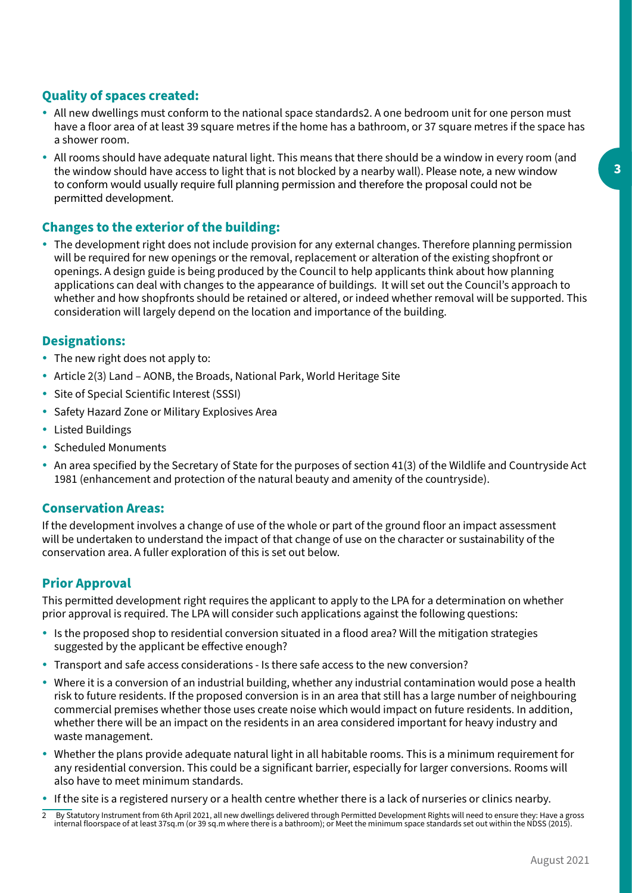## **Quality of spaces created:**

- All new dwellings must conform to the national space standards2. A one bedroom unit for one person must have a floor area of at least 39 square metres if the home has a bathroom, or 37 square metres if the space has a shower room.
- All rooms should have adequate natural light. This means that there should be a window in every room (and the window should have access to light that is not blocked by a nearby wall). Please note, a new window to conform would usually require full planning permission and therefore the proposal could not be permitted development.

## **Changes to the exterior of the building:**

• The development right does not include provision for any external changes. Therefore planning permission will be required for new openings or the removal, replacement or alteration of the existing shopfront or openings. A design guide is being produced by the Council to help applicants think about how planning applications can deal with changes to the appearance of buildings. It will set out the Council's approach to whether and how shopfronts should be retained or altered, or indeed whether removal will be supported. This consideration will largely depend on the location and importance of the building.

## **Designations:**

- The new right does not apply to:
- Article 2(3) Land AONB, the Broads, National Park, World Heritage Site
- Site of Special Scientific Interest (SSSI)
- Safety Hazard Zone or Military Explosives Area
- Listed Buildings
- Scheduled Monuments
- An area specified by the Secretary of State for the purposes of section 41(3) of the Wildlife and Countryside Act 1981 (enhancement and protection of the natural beauty and amenity of the countryside).

#### **Conservation Areas:**

If the development involves a change of use of the whole or part of the ground floor an impact assessment will be undertaken to understand the impact of that change of use on the character or sustainability of the conservation area. A fuller exploration of this is set out below.

#### **Prior Approval**

This permitted development right requires the applicant to apply to the LPA for a determination on whether prior approval is required. The LPA will consider such applications against the following questions:

- Is the proposed shop to residential conversion situated in a flood area? Will the mitigation strategies suggested by the applicant be effective enough?
- Transport and safe access considerations Is there safe access to the new conversion?
- Where it is a conversion of an industrial building, whether any industrial contamination would pose a health risk to future residents. If the proposed conversion is in an area that still has a large number of neighbouring commercial premises whether those uses create noise which would impact on future residents. In addition, whether there will be an impact on the residents in an area considered important for heavy industry and waste management.
- y Whether the plans provide adequate natural light in all habitable rooms. This is a minimum requirement for any residential conversion. This could be a significant barrier, especially for larger conversions. Rooms will also have to meet minimum standards.
- If the site is a registered nursery or a health centre whether there is a lack of nurseries or clinics nearby.
- By Statutory Instrument from 6th April 2021, all new dwellings delivered through Permitted Development Rights will need to ensure they: Have a gross internal floorspace of at least 37sq.m (or 39 sq.m where there is a bathroom); or Meet the minimum space standards set out within the NDSS (2015).  $\overline{2}$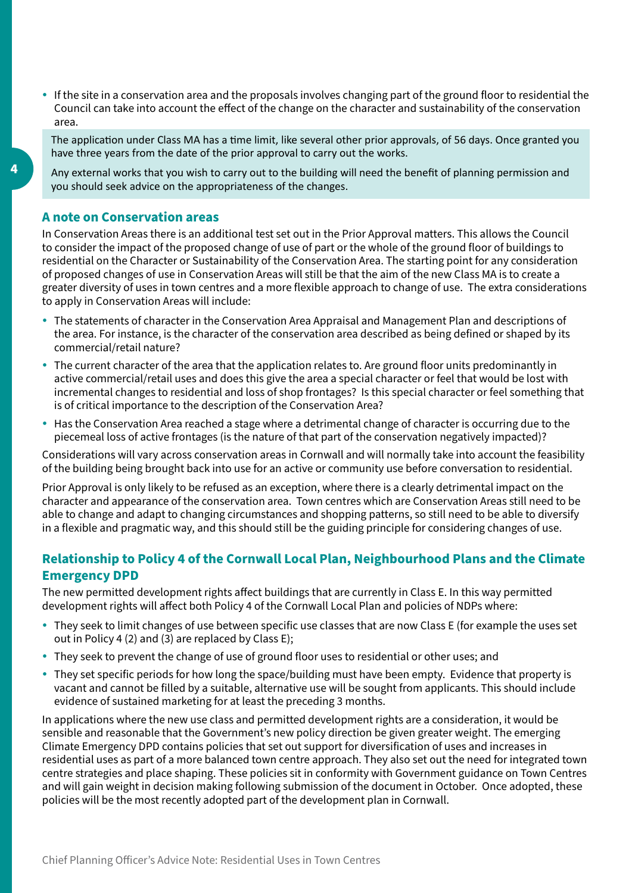y If the site in a conservation area and the proposals involves changing part of the ground floor to residential the Council can take into account the efect of the change on the character and sustainability of the conservation area.

The application under Class MA has a time limit, like several other prior approvals, of 56 days. Once granted you have three years from the date of the prior approval to carry out the works.

Any external works that you wish to carry out to the building will need the benefit of planning permission and you should seek advice on the appropriateness of the changes.

#### **A note on Conservation areas**

In Conservation Areas there is an additional test set out in the Prior Approval matters. This allows the Council to consider the impact of the proposed change of use of part or the whole of the ground floor of buildings to residential on the Character or Sustainability of the Conservation Area. The starting point for any consideration of proposed changes of use in Conservation Areas will still be that the aim of the new Class MA is to create a greater diversity of uses in town centres and a more flexible approach to change of use. The extra considerations to apply in Conservation Areas will include:

- The statements of character in the Conservation Area Appraisal and Management Plan and descriptions of the area. For instance, is the character of the conservation area described as being defined or shaped by its commercial/retail nature?
- The current character of the area that the application relates to. Are ground floor units predominantly in active commercial/retail uses and does this give the area a special character or feel that would be lost with incremental changes to residential and loss of shop frontages? Is this special character or feel something that is of critical importance to the description of the Conservation Area?
- Has the Conservation Area reached a stage where a detrimental change of character is occurring due to the piecemeal loss of active frontages (is the nature of that part of the conservation negatively impacted)?

Considerations will vary across conservation areas in Cornwall and will normally take into account the feasibility of the building being brought back into use for an active or community use before conversation to residential.

Prior Approval is only likely to be refused as an exception, where there is a clearly detrimental impact on the character and appearance of the conservation area. Town centres which are Conservation Areas still need to be able to change and adapt to changing circumstances and shopping patterns, so still need to be able to diversify in a flexible and pragmatic way, and this should still be the guiding principle for considering changes of use.

## **Relationship to Policy 4 of the Cornwall Local Plan, Neighbourhood Plans and the Climate Emergency DPD**

The new permitted development rights affect buildings that are currently in Class E. In this way permitted development rights will afect both Policy 4 of the Cornwall Local Plan and policies of NDPs where:

- y They seek to limit changes of use between specific use classes that are now Class E (for example the uses set out in Policy 4 (2) and (3) are replaced by Class E);
- They seek to prevent the change of use of ground floor uses to residential or other uses; and
- They set specific periods for how long the space/building must have been empty. Evidence that property is vacant and cannot be filled by a suitable, alternative use will be sought from applicants. This should include evidence of sustained marketing for at least the preceding 3 months.

In applications where the new use class and permitted development rights are a consideration, it would be sensible and reasonable that the Government's new policy direction be given greater weight. The emerging Climate Emergency DPD contains policies that set out support for diversification of uses and increases in residential uses as part of a more balanced town centre approach. They also set out the need for integrated town centre strategies and place shaping. These policies sit in conformity with Government guidance on Town Centres and will gain weight in decision making following submission of the document in October. Once adopted, these policies will be the most recently adopted part of the development plan in Cornwall.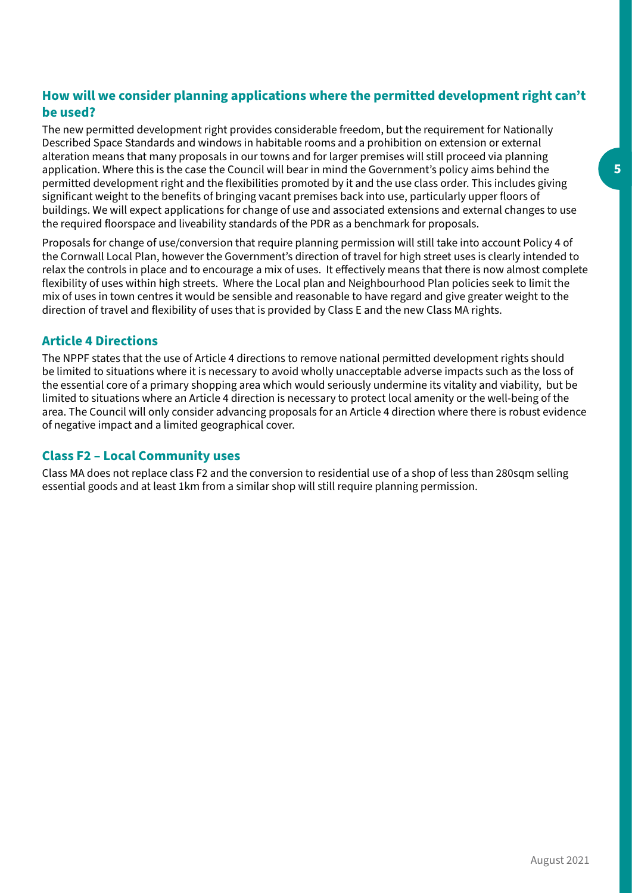## **How will we consider planning applications where the permitted development right can't be used?**

The new permitted development right provides considerable freedom, but the requirement for Nationally Described Space Standards and windows in habitable rooms and a prohibition on extension or external alteration means that many proposals in our towns and for larger premises will still proceed via planning application. Where this is the case the Council will bear in mind the Government's policy aims behind the permitted development right and the flexibilities promoted by it and the use class order. This includes giving significant weight to the benefits of bringing vacant premises back into use, particularly upper floors of buildings. We will expect applications for change of use and associated extensions and external changes to use the required floorspace and liveability standards of the PDR as a benchmark for proposals.

Proposals for change of use/conversion that require planning permission will still take into account Policy 4 of the Cornwall Local Plan, however the Government's direction of travel for high street uses is clearly intended to relax the controls in place and to encourage a mix of uses. It efectively means that there is now almost complete flexibility of uses within high streets. Where the Local plan and Neighbourhood Plan policies seek to limit the mix of uses in town centres it would be sensible and reasonable to have regard and give greater weight to the direction of travel and flexibility of uses that is provided by Class E and the new Class MA rights.

## **Article 4 Directions**

The NPPF states that the use of Article 4 directions to remove national permitted development rights should be limited to situations where it is necessary to avoid wholly unacceptable adverse impacts such as the loss of the essential core of a primary shopping area which would seriously undermine its vitality and viability, but be limited to situations where an Article 4 direction is necessary to protect local amenity or the well-being of the area. The Council will only consider advancing proposals for an Article 4 direction where there is robust evidence of negative impact and a limited geographical cover.

## **Class F2 – Local Community uses**

Class MA does not replace class F2 and the conversion to residential use of a shop of less than 280sqm selling essential goods and at least 1km from a similar shop will still require planning permission.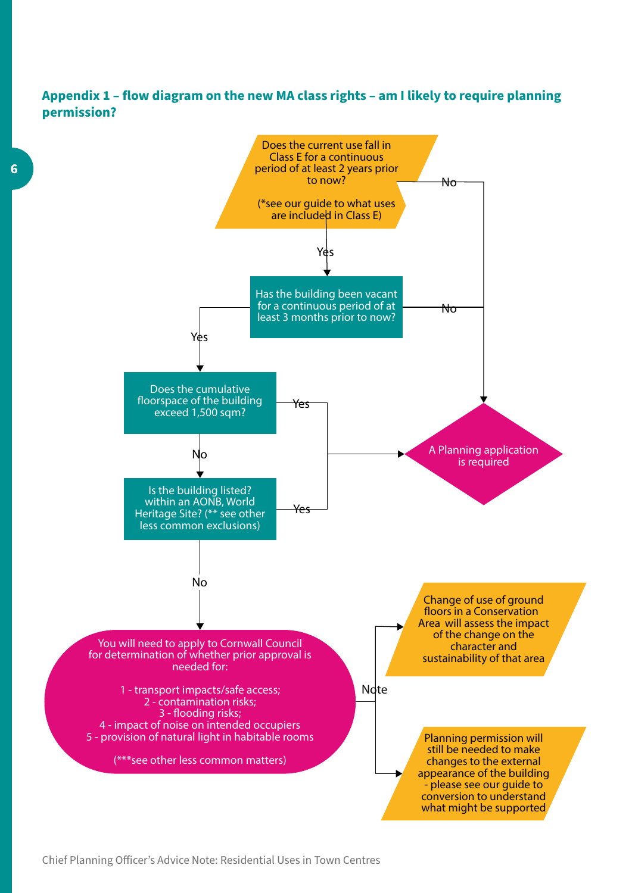## **Appendix 1 – flow diagram on the new MA class rights – am I likely to require planning permission?**

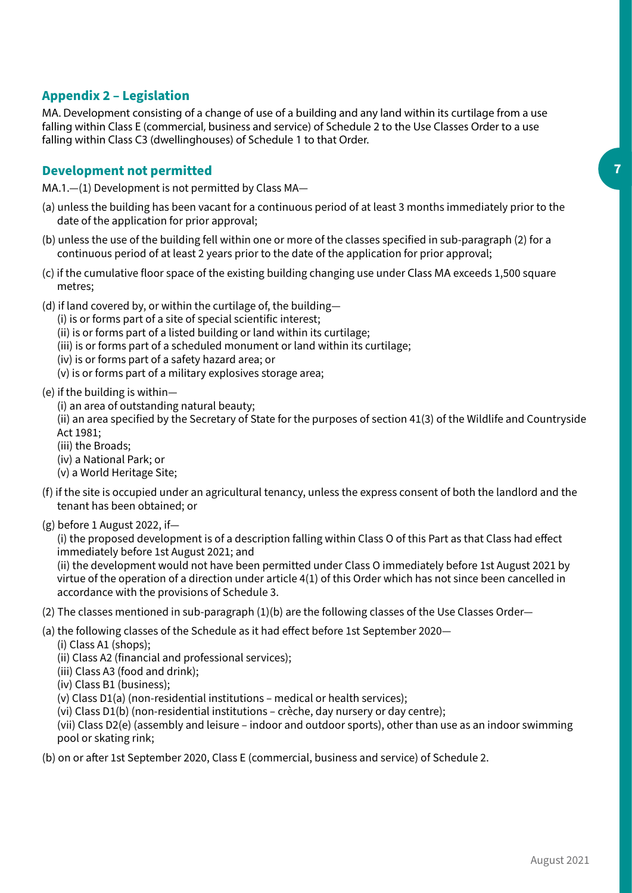## **Appendix 2 – Legislation**

MA. Development consisting of a change of use of a building and any land within its curtilage from a use falling within Class E (commercial, business and service) of Schedule 2 to the Use Classes Order to a use falling within Class C3 (dwellinghouses) of Schedule 1 to that Order.

#### **Development not permitted**

MA.1.—(1) Development is not permitted by Class MA—

- (a) unless the building has been vacant for a continuous period of at least 3 months immediately prior to the date of the application for prior approval;
- (b) unless the use of the building fell within one or more of the classes specified in sub-paragraph (2) for a continuous period of at least 2 years prior to the date of the application for prior approval;
- (c) if the cumulative floor space of the existing building changing use under Class MA exceeds 1,500 square metres;
- (d) if land covered by, or within the curtilage of, the building—
	- (i) is or forms part of a site of special scientific interest;

(ii) is or forms part of a listed building or land within its curtilage;

- (iii) is or forms part of a scheduled monument or land within its curtilage;
- (iv) is or forms part of a safety hazard area; or
- (v) is or forms part of a military explosives storage area;
- (e) if the building is within—
	- (i) an area of outstanding natural beauty;
	- (ii) an area specified by the Secretary of State for the purposes of section 41(3) of the Wildlife and Countryside Act 1981;
	- (iii) the Broads;
	- (iv) a National Park; or
	- (v) a World Heritage Site;
- (f) if the site is occupied under an agricultural tenancy, unless the express consent of both the landlord and the tenant has been obtained; or
- (g) before 1 August 2022, if—

(i) the proposed development is of a description falling within Class O of this Part as that Class had efect immediately before 1st August 2021; and

(ii) the development would not have been permitted under Class O immediately before 1st August 2021 by virtue of the operation of a direction under article 4(1) of this Order which has not since been cancelled in accordance with the provisions of Schedule 3.

- (2) The classes mentioned in sub-paragraph (1)(b) are the following classes of the Use Classes Order—
- (a) the following classes of the Schedule as it had efect before 1st September 2020—
	- (i) Class A1 (shops);
	- (ii) Class A2 (financial and professional services);
	- (iii) Class A3 (food and drink);
	- (iv) Class B1 (business);
	- (v) Class D1(a) (non-residential institutions medical or health services);
	- (vi) Class D1(b) (non-residential institutions crèche, day nursery or day centre);

(vii) Class D2(e) (assembly and leisure – indoor and outdoor sports), other than use as an indoor swimming pool or skating rink;

(b) on or afer 1st September 2020, Class E (commercial, business and service) of Schedule 2.